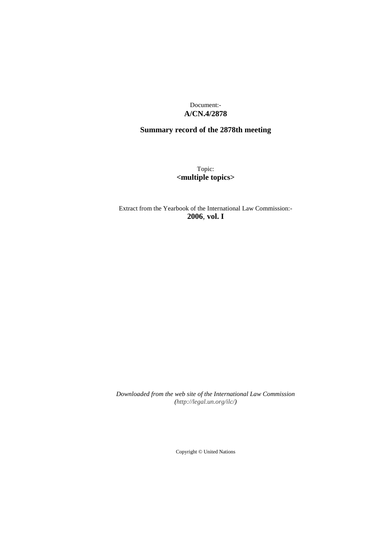Document:- **A/CN.4/2878**

# **Summary record of the 2878th meeting**

Topic: **<multiple topics>**

Extract from the Yearbook of the International Law Commission:- **2006**, **vol. I**

*Downloaded from the web site of the International Law Commission (http://legal.un.org/ilc/)*

Copyright © United Nations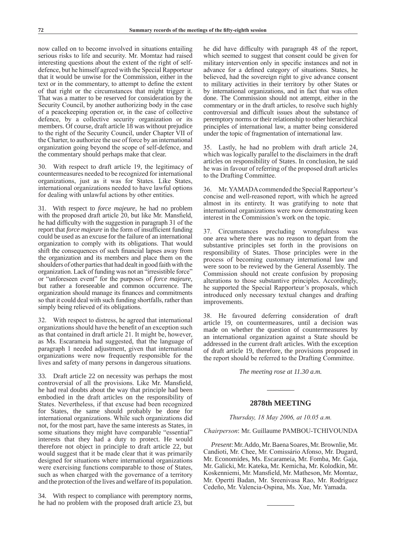now called on to become involved in situations entailing serious risks to life and security. Mr. Momtaz had raised interesting questions about the extent of the right of selfdefence, but he himself agreed with the Special Rapporteur that it would be unwise for the Commission, either in the text or in the commentary, to attempt to define the extent of that right or the circumstances that might trigger it. That was a matter to be reserved for consideration by the Security Council, by another authorizing body in the case of a peacekeeping operation or, in the case of collective defence, by a collective security organization or its members. Of course, draft article 18 was without prejudice to the right of the Security Council, under Chapter VII of the Charter, to authorize the use of force by an international organization going beyond the scope of self-defence, and the commentary should perhaps make that clear.

30. With respect to draft article 19, the legitimacy of countermeasures needed to be recognized for international organizations, just as it was for States. Like States, international organizations needed to have lawful options for dealing with unlawful actions by other entities.

31. With respect to *force majeure*, he had no problem with the proposed draft article 20, but like Mr. Mansfield, he had difficulty with the suggestion in paragraph 31 of the report that *force majeure* in the form of insufficient funding could be used as an excuse for the failure of an international organization to comply with its obligations. That would shift the consequences of such financial lapses away from the organization and its members and place them on the shoulders of other parties that had dealt in good faith with the organization. Lack of funding was not an "irresistible force" or "unforeseen event" for the purposes of *force majeure*, but rather a foreseeable and common occurrence. The organization should manage its finances and commitments so that it could deal with such funding shortfalls, rather than simply being relieved of its obligations.

32. With respect to distress, he agreed that international organizations should have the benefit of an exception such as that contained in draft article 21. It might be, however, as Ms. Escarameia had suggested, that the language of paragraph 1 needed adjustment, given that international organizations were now frequently responsible for the lives and safety of many persons in dangerous situations.

33. Draft article 22 on necessity was perhaps the most controversial of all the provisions. Like Mr. Mansfield, he had real doubts about the way that principle had been embodied in the draft articles on the responsibility of States. Nevertheless, if that excuse had been recognized for States, the same should probably be done for international organizations. While such organizations did not, for the most part, have the same interests as States, in some situations they might have comparable "essential" interests that they had a duty to protect. He would therefore not object in principle to draft article 22, but would suggest that it be made clear that it was primarily designed for situations where international organizations were exercising functions comparable to those of States, such as when charged with the governance of a territory and the protection of the lives and welfare of its population.

34. With respect to compliance with peremptory norms, he had no problem with the proposed draft article 23, but he did have difficulty with paragraph 48 of the report, which seemed to suggest that consent could be given for military intervention only in specific instances and not in advance for a defined category of situations. States, he believed, had the sovereign right to give advance consent to military activities in their territory by other States or by international organizations, and in fact that was often done. The Commission should not attempt, either in the commentary or in the draft articles, to resolve such highly controversial and difficult issues about the substance of peremptory norms or their relationship to other hierarchical principles of international law, a matter being considered under the topic of fragmentation of international law.

35. Lastly, he had no problem with draft article 24, which was logically parallel to the disclaimers in the draft articles on responsibility of States. In conclusion, he said he was in favour of referring of the proposed draft articles to the Drafting Committee.

36. Mr. YAMADA commended the Special Rapporteur's concise and well-reasoned report, with which he agreed almost in its entirety. It was gratifying to note that international organizations were now demonstrating keen interest in the Commission's work on the topic.

37. Circumstances precluding wrongfulness was one area where there was no reason to depart from the substantive principles set forth in the provisions on responsibility of States. Those principles were in the process of becoming customary international law and were soon to be reviewed by the General Assembly. The Commission should not create confusion by proposing alterations to those substantive principles. Accordingly, he supported the Special Rapporteur's proposals, which introduced only necessary textual changes and drafting improvements.

38. He favoured deferring consideration of draft article 19, on countermeasures, until a decision was made on whether the question of countermeasures by an international organization against a State should be addressed in the current draft articles. With the exception of draft article 19, therefore, the provisions proposed in the report should be referred to the Drafting Committee.

*The meeting rose at 11.30 a.m.*

### **2878th MEETING**

*Thursday, 18 May 2006, at 10.05 a.m.*

*Chairperson*: Mr. Guillaume PAMBOU-TCHIVOUNDA

*Present*: Mr. Addo, Mr. Baena Soares, Mr. Brownlie, Mr. Candioti, Mr. Chee, Mr. Comissário Afonso, Mr. Dugard, Mr. Economides, Ms. Escarameia, Mr. Fomba, Mr. Gaja, Mr. Galicki, Mr. Kateka, Mr. Kemicha, Mr. Kolodkin, Mr. Koskenniemi, Mr. Mansfield, Mr. Matheson, Mr. Momtaz, Mr. Opertti Badan, Mr. Sreenivasa Rao, Mr. Rodríguez Cedeño, Mr. Valencia-Ospina, Ms. Xue, Mr. Yamada.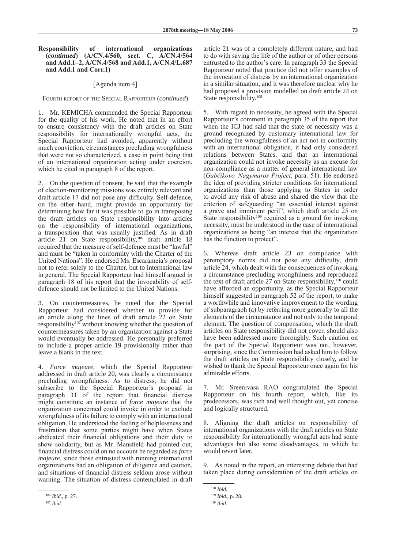### **Responsibility of international organizations (***continued***) (A/CN.4/560, sect. C, A/CN.4/564 and Add.1–2, A/CN.4/568 and Add.1, A/CN.4/L.687 and Add.1 and Corr.1)**

### [Agenda item 4]

Fourth report of the Special Rapporteur (*continued*)

1. Mr. KEMICHA commended the Special Rapporteur for the quality of his work. He noted that in an effort to ensure consistency with the draft articles on State responsibility for internationally wrongful acts, the Special Rapporteur had avoided, apparently without much conviction, circumstances precluding wrongfulness that were not so characterized, a case in point being that of an international organization acting under coercion, which he cited in paragraph 8 of the report.

2. On the question of consent, he said that the example of election-monitoring missions was entirely relevant and draft article 17 did not pose any difficulty. Self-defence, on the other hand, might provide an opportunity for determining how far it was possible to go in transposing the draft articles on State responsibility into articles on the responsibility of international organizations, a transposition that was usually justified. As in draft article 21 on State responsibility,106 draft article 18 required that the measure of self-defence must be "lawful" and must be "taken in conformity with the Charter of the United Nations". He endorsed Ms. Escarameia's proposal not to refer solely to the Charter, but to international law in general. The Special Rapporteur had himself argued in paragraph 18 of his report that the invocability of selfdefence should not be limited to the United Nations.

3. On countermeasures, he noted that the Special Rapporteur had considered whether to provide for an article along the lines of draft article 22 on State responsibility<sup>107</sup> without knowing whether the question of countermeasures taken by an organization against a State would eventually be addressed. He personally preferred to include a proper article 19 provisionally rather than leave a blank in the text.

4. *Force majeure*, which the Special Rapporteur addressed in draft article 20, was clearly a circumstance precluding wrongfulness. As to distress, he did not subscribe to the Special Rapporteur's proposal in paragraph 31 of the report that financial distress might constitute an instance of *force majeure* that the organization concerned could invoke in order to exclude wrongfulness of its failure to comply with an international obligation. He understood the feeling of helplessness and frustration that some parties might have when States abdicated their financial obligations and their duty to show solidarity, but as Mr. Mansfield had pointed out, financial distress could on no account be regarded as *force majeure*, since those entrusted with running international organizations had an obligation of diligence and caution, and situations of financial distress seldom arose without warning. The situation of distress contemplated in draft article 21 was of a completely different nature, and had to do with saving the life of the author or of other persons entrusted to the author's care. In paragraph 33 the Special Rapporteur noted that practice did not offer examples of the invocation of distress by an international organization in a similar situation, and it was therefore unclear why he had proposed a provision modelled on draft article 24 on State responsibility.108

5. With regard to necessity, he agreed with the Special Rapporteur's comment in paragraph 35 of the report that when the ICJ had said that the state of necessity was a ground recognized by customary international law for precluding the wrongfulness of an act not in conformity with an international obligation, it had only considered relations between States, and that an international organization could not invoke necessity as an excuse for non-compliance as a matter of general international law (*Gabčíkovo–Nagymaros Project*, para. 51). He endorsed the idea of providing stricter conditions for international organizations than those applying to States in order to avoid any risk of abuse and shared the view that the criterion of safeguarding "an essential interest against a grave and imminent peril", which draft article 25 on State responsibility<sup>109</sup> required as a ground for invoking necessity, must be understood in the case of international organizations as being "an interest that the organization has the function to protect".

6. Whereas draft article 23 on compliance with peremptory norms did not pose any difficulty, draft article 24, which dealt with the consequences of invoking a circumstance precluding wrongfulness and reproduced the text of draft article  $27$  on State responsibility,<sup>110</sup> could have afforded an opportunity, as the Special Rapporteur himself suggested in paragraph 52 of the report, to make a worthwhile and innovative improvement to the wording of subparagraph (a) by referring more generally to all the elements of the circumstance and not only to the temporal element. The question of compensation, which the draft articles on State responsibility did not cover, should also have been addressed more thoroughly. Such caution on the part of the Special Rapporteur was not, however, surprising, since the Commission had asked him to follow the draft articles on State responsibility closely, and he wished to thank the Special Rapporteur once again for his admirable efforts.

7. Mr. Sreenivasa RAO congratulated the Special Rapporteur on his fourth report, which, like its predecessors, was rich and well thought out, yet concise and logically structured.

8. Aligning the draft articles on responsibility of international organizations with the draft articles on State responsibility for internationally wrongful acts had some advantages but also some disadvantages, to which he would revert later.

9. As noted in the report, an interesting debate that had taken place during consideration of the draft articles on

<sup>106</sup> *Ibid.*, p. 27.

<sup>107</sup> *Ibid.*

<sup>108</sup> *Ibid.*

<sup>109</sup> *Ibid.*, p. 28.

<sup>110</sup> *Ibid.*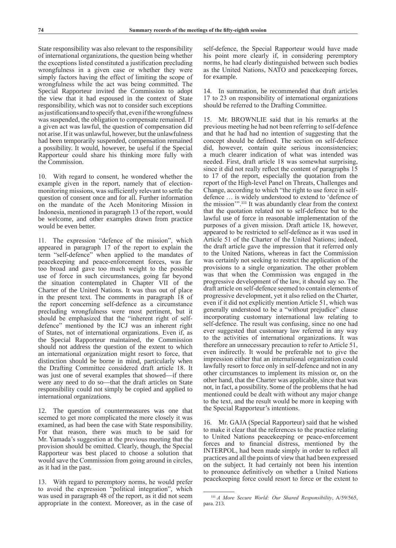State responsibility was also relevant to the responsibility of international organizations, the question being whether the exceptions listed constituted a justification precluding wrongfulness in a given case or whether they were simply factors having the effect of limiting the scope of wrongfulness while the act was being committed. The Special Rapporteur invited the Commission to adopt the view that it had espoused in the context of State responsibility, which was not to consider such exceptions as justifications and to specify that, even if the wrongfulness was suspended, the obligation to compensate remained. If a given act was lawful, the question of compensation did not arise. If it was unlawful, however, but the unlawfulness had been temporarily suspended, compensation remained a possibility. It would, however, be useful if the Special Rapporteur could share his thinking more fully with the Commission.

10. With regard to consent, he wondered whether the example given in the report, namely that of electionmonitoring missions, was sufficiently relevant to settle the question of consent once and for all. Further information on the mandate of the Aceh Monitoring Mission in Indonesia, mentioned in paragraph 13 of the report, would be welcome, and other examples drawn from practice would be even better.

11. The expression "defence of the mission", which appeared in paragraph 17 of the report to explain the term "self-defence" when applied to the mandates of peacekeeping and peace-enforcement forces, was far too broad and gave too much weight to the possible use of force in such circumstances, going far beyond the situation contemplated in Chapter VII of the Charter of the United Nations. It was thus out of place in the present text. The comments in paragraph 18 of the report concerning self-defence as a circumstance precluding wrongfulness were most pertinent, but it should be emphasized that the "inherent right of selfdefence" mentioned by the ICJ was an inherent right of States, not of international organizations. Even if, as the Special Rapporteur maintained, the Commission should not address the question of the extent to which an international organization might resort to force, that distinction should be borne in mind, particularly when the Drafting Committee considered draft article 18. It was just one of several examples that showed—if there were any need to do so—that the draft articles on State responsibility could not simply be copied and applied to international organizations.

12. The question of countermeasures was one that seemed to get more complicated the more closely it was examined, as had been the case with State responsibility. For that reason, there was much to be said for Mr. Yamada's suggestion at the previous meeting that the provision should be omitted. Clearly, though, the Special Rapporteur was best placed to choose a solution that would save the Commission from going around in circles, as it had in the past.

13. With regard to peremptory norms, he would prefer to avoid the expression "political integration", which was used in paragraph 48 of the report, as it did not seem appropriate in the context. Moreover, as in the case of self-defence, the Special Rapporteur would have made his point more clearly if, in considering peremptory norms, he had clearly distinguished between such bodies as the United Nations, NATO and peacekeeping forces, for example.

14. In summation, he recommended that draft articles 17 to 23 on responsibility of international organizations should be referred to the Drafting Committee.

15. Mr. BROWNLIE said that in his remarks at the previous meeting he had not been referring to self-defence and that he had had no intention of suggesting that the concept should be defined. The section on self-defence did, however, contain quite serious inconsistencies; a much clearer indication of what was intended was needed. First, draft article 18 was somewhat surprising, since it did not really reflect the content of paragraphs 15 to 17 of the report, especially the quotation from the report of the High-level Panel on Threats, Challenges and Change, according to which "the right to use force in selfdefence … is widely understood to extend to 'defence of the mission'".111 It was abundantly clear from the context that the quotation related not to self-defence but to the lawful use of force in reasonable implementation of the purposes of a given mission. Draft article 18, however, appeared to be restricted to self-defence as it was used in Article 51 of the Charter of the United Nations; indeed, the draft article gave the impression that it referred only to the United Nations, whereas in fact the Commission was certainly not seeking to restrict the application of the provisions to a single organization. The other problem was that when the Commission was engaged in the progressive development of the law, it should say so. The draft article on self-defence seemed to contain elements of progressive development, yet it also relied on the Charter, even if it did not explicitly mention Article 51, which was generally understood to be a "without prejudice" clause incorporating customary international law relating to self-defence. The result was confusing, since no one had ever suggested that customary law referred in any way to the activities of international organizations. It was therefore an unnecessary precaution to refer to Article 51, even indirectly. It would be preferable not to give the impression either that an international organization could lawfully resort to force only in self-defence and not in any other circumstances to implement its mission or, on the other hand, that the Charter was applicable, since that was not, in fact, a possibility. Some of the problems that he had mentioned could be dealt with without any major change to the text, and the result would be more in keeping with the Special Rapporteur's intentions.

16. Mr. GAJA (Special Rapporteur) said that he wished to make it clear that the references to the practice relating to United Nations peacekeeping or peace-enforcement forces and to financial distress, mentioned by the INTERPOL, had been made simply in order to reflect all practices and all the points of view that had been expressed on the subject. It had certainly not been his intention to pronounce definitively on whether a United Nations peacekeeping force could resort to force or the extent to

<sup>111</sup> *A More Secure World: Our Shared Responsibility*, A/59/565, para. 213.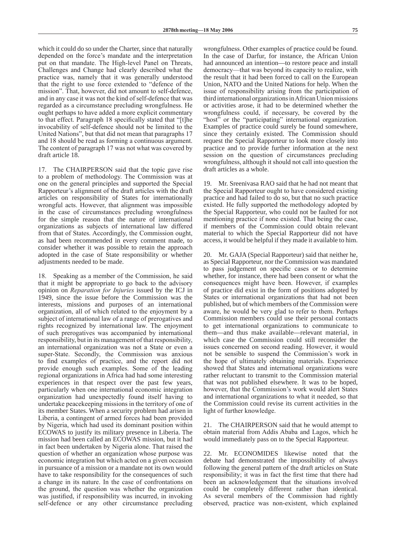which it could do so under the Charter, since that naturally depended on the force's mandate and the interpretation put on that mandate. The High-level Panel on Threats, Challenges and Change had clearly described what the practice was, namely that it was generally understood that the right to use force extended to "defence of the mission". That, however, did not amount to self-defence, and in any case it was not the kind of self-defence that was regarded as a circumstance precluding wrongfulness. He ought perhaps to have added a more explicit commentary to that effect. Paragraph 18 specifically stated that "[t]he invocability of self-defence should not be limited to the United Nations", but that did not mean that paragraphs 17 and 18 should be read as forming a continuous argument. The content of paragraph 17 was not what was covered by draft article 18.

17. The CHAIRPERSON said that the topic gave rise to a problem of methodology. The Commission was at one on the general principles and supported the Special Rapporteur's alignment of the draft articles with the draft articles on responsibility of States for internationally wrongful acts. However, that alignment was impossible in the case of circumstances precluding wrongfulness for the simple reason that the nature of international organizations as subjects of international law differed from that of States. Accordingly, the Commission ought, as had been recommended in every comment made, to consider whether it was possible to retain the approach adopted in the case of State responsibility or whether adjustments needed to be made.

18. Speaking as a member of the Commission, he said that it might be appropriate to go back to the advisory opinion on *Reparation for Injuries* issued by the ICJ in 1949, since the issue before the Commission was the interests, missions and purposes of an international organization, all of which related to the enjoyment by a subject of international law of a range of prerogatives and rights recognized by international law. The enjoyment of such prerogatives was accompanied by international responsibility, but in its management of that responsibility, an international organization was not a State or even a super-State. Secondly, the Commission was anxious to find examples of practice, and the report did not provide enough such examples. Some of the leading regional organizations in Africa had had some interesting experiences in that respect over the past few years, particularly when one international economic integration organization had unexpectedly found itself having to undertake peacekeeping missions in the territory of one of its member States. When a security problem had arisen in Liberia, a contingent of armed forces had been provided by Nigeria, which had used its dominant position within ECOWAS to justify its military presence in Liberia. The mission had been called an ECOWAS mission, but it had in fact been undertaken by Nigeria alone. That raised the question of whether an organization whose purpose was economic integration but which acted on a given occasion in pursuance of a mission or a mandate not its own would have to take responsibility for the consequences of such a change in its nature. In the case of confrontations on the ground, the question was whether the organization was justified, if responsibility was incurred, in invoking self-defence or any other circumstance precluding

wrongfulness. Other examples of practice could be found. In the case of Darfur, for instance, the African Union had announced an intention—to restore peace and install democracy—that was beyond its capacity to realize, with the result that it had been forced to call on the European Union, NATO and the United Nations for help. When the issue of responsibility arising from the participation of third international organizations in African Union missions or activities arose, it had to be determined whether the wrongfulness could, if necessary, be covered by the "host" or the "participating" international organization. Examples of practice could surely be found somewhere, since they certainly existed. The Commission should request the Special Rapporteur to look more closely into practice and to provide further information at the next session on the question of circumstances precluding wrongfulness, although it should not call into question the draft articles as a whole.

19. Mr. Sreenivasa RAO said that he had not meant that the Special Rapporteur ought to have considered existing practice and had failed to do so, but that no such practice existed. He fully supported the methodology adopted by the Special Rapporteur, who could not be faulted for not mentioning practice if none existed. That being the case, if members of the Commission could obtain relevant material to which the Special Rapporteur did not have access, it would be helpful if they made it available to him.

20. Mr. GAJA (Special Rapporteur) said that neither he, as Special Rapporteur, nor the Commission was mandated to pass judgement on specific cases or to determine whether, for instance, there had been consent or what the consequences might have been. However, if examples of practice did exist in the form of positions adopted by States or international organizations that had not been published, but of which members of the Commission were aware, he would be very glad to refer to them. Perhaps Commission members could use their personal contacts to get international organizations to communicate to them—and thus make available—relevant material, in which case the Commission could still reconsider the issues concerned on second reading. However, it would not be sensible to suspend the Commission's work in the hope of ultimately obtaining materials. Experience showed that States and international organizations were rather reluctant to transmit to the Commission material that was not published elsewhere. It was to be hoped, however, that the Commission's work would alert States and international organizations to what it needed, so that the Commission could revise its current activities in the light of further knowledge.

21. The CHAIRPERSON said that he would attempt to obtain material from Addis Ababa and Lagos, which he would immediately pass on to the Special Rapporteur.

22. Mr. ECONOMIDES likewise noted that the debate had demonstrated the impossibility of always following the general pattern of the draft articles on State responsibility; it was in fact the first time that there had been an acknowledgement that the situations involved could be completely different rather than identical. As several members of the Commission had rightly observed, practice was non-existent, which explained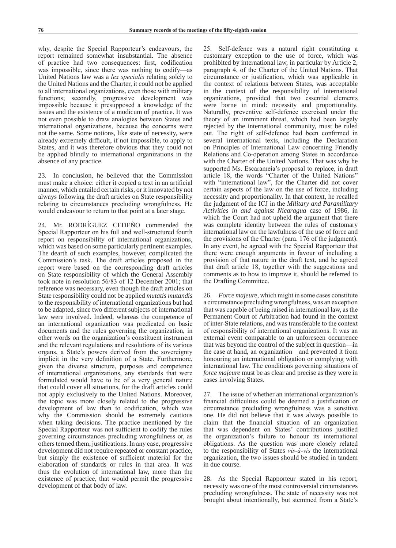why, despite the Special Rapporteur's endeavours, the report remained somewhat insubstantial. The absence of practice had two consequences: first, codification was impossible, since there was nothing to codify—as United Nations law was a *lex specialis* relating solely to the United Nations and the Charter, it could not be applied to all international organizations, even those with military functions; secondly, progressive development was impossible because it presupposed a knowledge of the issues and the existence of a modicum of practice. It was not even possible to draw analogies between States and international organizations, because the concerns were not the same. Some notions, like state of necessity, were already extremely difficult, if not impossible, to apply to States, and it was therefore obvious that they could not be applied blindly to international organizations in the absence of any practice.

23. In conclusion, he believed that the Commission must make a choice: either it copied a text in an artificial manner, which entailed certain risks, or it innovated by not always following the draft articles on State responsibility relating to circumstances precluding wrongfulness. He would endeavour to return to that point at a later stage.

24. Mr. RODRÍGUEZ CEDEÑO commended the Special Rapporteur on his full and well-structured fourth report on responsibility of international organizations, which was based on some particularly pertinent examples. The dearth of such examples, however, complicated the Commission's task. The draft articles proposed in the report were based on the corresponding draft articles on State responsibility of which the General Assembly took note in resolution 56/83 of 12 December 2001; that reference was necessary, even though the draft articles on State responsibility could not be applied *mutatis mutandis* to the responsibility of international organizations but had to be adapted, since two different subjects of international law were involved. Indeed, whereas the competence of an international organization was predicated on basic documents and the rules governing the organization, in other words on the organization's constituent instrument and the relevant regulations and resolutions of its various organs, a State's powers derived from the sovereignty implicit in the very definition of a State. Furthermore, given the diverse structure, purposes and competence of international organizations, any standards that were formulated would have to be of a very general nature that could cover all situations, for the draft articles could not apply exclusively to the United Nations. Moreover, the topic was more closely related to the progressive development of law than to codification, which was why the Commission should be extremely cautious when taking decisions. The practice mentioned by the Special Rapporteur was not sufficient to codify the rules governing circumstances precluding wrongfulness or, as others termed them, justifications. In any case, progressive development did not require repeated or constant practice, but simply the existence of sufficient material for the elaboration of standards or rules in that area. It was thus the evolution of international law, more than the existence of practice, that would permit the progressive development of that body of law.

25. Self-defence was a natural right constituting a customary exception to the use of force, which was prohibited by international law, in particular by Article 2, paragraph 4, of the Charter of the United Nations. That circumstance or justification, which was applicable in the context of relations between States, was acceptable in the context of the responsibility of international organizations, provided that two essential elements were borne in mind: necessity and proportionality. Naturally, preventive self-defence exercised under the theory of an imminent threat, which had been largely rejected by the international community, must be ruled out. The right of self-defence had been confirmed in several international texts, including the Declaration on Principles of International Law concerning Friendly Relations and Co-operation among States in accordance with the Charter of the United Nations. That was why he supported Ms. Escarameia's proposal to replace, in draft article 18, the words "Charter of the United Nations" with "international law", for the Charter did not cover certain aspects of the law on the use of force, including necessity and proportionality. In that context, he recalled the judgment of the ICJ in the *Military and Paramilitary Activities in and against Nicaragua* case of 1986, in which the Court had not upheld the argument that there was complete identity between the rules of customary international law on the lawfulness of the use of force and the provisions of the Charter (para. 176 of the judgment). In any event, he agreed with the Special Rapporteur that there were enough arguments in favour of including a provision of that nature in the draft text, and he agreed that draft article 18, together with the suggestions and comments as to how to improve it, should be referred to the Drafting Committee.

26. *Force majeure*, which might in some cases constitute a circumstance precluding wrongfulness, was an exception that was capable of being raised in international law, as the Permanent Court of Arbitration had found in the context of inter-State relations, and was transferable to the context of responsibility of international organizations. It was an external event comparable to an unforeseen occurrence that was beyond the control of the subject in question—in the case at hand, an organization—and prevented it from honouring an international obligation or complying with international law. The conditions governing situations of *force majeure* must be as clear and precise as they were in cases involving States.

27. The issue of whether an international organization's financial difficulties could be deemed a justification or circumstance precluding wrongfulness was a sensitive one. He did not believe that it was always possible to claim that the financial situation of an organization that was dependent on States' contributions justified the organization's failure to honour its international obligations. As the question was more closely related to the responsibility of States *vis-à-vis* the international organization, the two issues should be studied in tandem in due course.

28. As the Special Rapporteur stated in his report, necessity was one of the most controversial circumstances precluding wrongfulness. The state of necessity was not brought about intentionally, but stemmed from a State's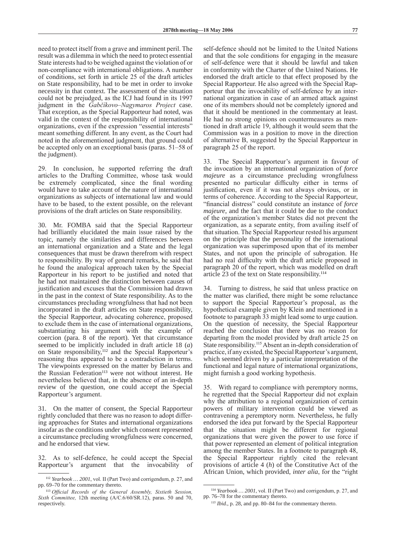need to protect itself from a grave and imminent peril. The result was a dilemma in which the need to protect essential State interests had to be weighed against the violation of or non-compliance with international obligations. A number of conditions, set forth in article 25 of the draft articles on State responsibility, had to be met in order to invoke necessity in that context. The assessment of the situation could not be prejudged, as the ICJ had found in its 1997 judgment in the *Gabčíkovo–Nagymaros Project* case. That exception, as the Special Rapporteur had noted, was valid in the context of the responsibility of international organizations, even if the expression "essential interests" meant something different. In any event, as the Court had noted in the aforementioned judgment, that ground could be accepted only on an exceptional basis (paras. 51–58 of the judgment).

29. In conclusion, he supported referring the draft articles to the Drafting Committee, whose task would be extremely complicated, since the final wording would have to take account of the nature of international organizations as subjects of international law and would have to be based, to the extent possible, on the relevant provisions of the draft articles on State responsibility.

30. Mr. FOMBA said that the Special Rapporteur had brilliantly elucidated the main issue raised by the topic, namely the similarities and differences between an international organization and a State and the legal consequences that must be drawn therefrom with respect to responsibility. By way of general remarks, he said that he found the analogical approach taken by the Special Rapporteur in his report to be justified and noted that he had not maintained the distinction between causes of justification and excuses that the Commission had drawn in the past in the context of State responsibility. As to the circumstances precluding wrongfulness that had not been incorporated in the draft articles on State responsibility, the Special Rapporteur, advocating coherence, proposed to exclude them in the case of international organizations, substantiating his argument with the example of coercion (para. 8 of the report). Yet that circumstance seemed to be implicitly included in draft article 18 (*a*) on State responsibility,<sup>112</sup> and the Special Rapporteur's reasoning thus appeared to be a contradiction in terms. The viewpoints expressed on the matter by Belarus and the Russian Federation<sup>113</sup> were not without interest. He nevertheless believed that, in the absence of an in-depth review of the question, one could accept the Special Rapporteur's argument.

31. On the matter of consent, the Special Rapporteur rightly concluded that there was no reason to adopt differing approaches for States and international organizations insofar as the conditions under which consent represented a circumstance precluding wrongfulness were concerned, and he endorsed that view.

32. As to self-defence, he could accept the Special Rapporteur's argument that the invocability of self-defence should not be limited to the United Nations and that the sole conditions for engaging in the measure of self-defence were that it should be lawful and taken in conformity with the Charter of the United Nations. He endorsed the draft article to that effect proposed by the Special Rapporteur. He also agreed with the Special Rapporteur that the invocability of self-defence by an international organization in case of an armed attack against one of its members should not be completely ignored and that it should be mentioned in the commentary at least. He had no strong opinions on countermeasures as mentioned in draft article 19, although it would seem that the Commission was in a position to move in the direction of alternative B, suggested by the Special Rapporteur in paragraph 25 of the report.

33. The Special Rapporteur's argument in favour of the invocation by an international organization of *force majeure* as a circumstance precluding wrongfulness presented no particular difficulty either in terms of justification, even if it was not always obvious, or in terms of coherence. According to the Special Rapporteur, "financial distress" could constitute an instance of *force majeure*, and the fact that it could be due to the conduct of the organization's member States did not prevent the organization, as a separate entity, from availing itself of that situation. The Special Rapporteur rested his argument on the principle that the personality of the international organization was superimposed upon that of its member States, and not upon the principle of subrogation. He had no real difficulty with the draft article proposed in paragraph 20 of the report, which was modelled on draft article 23 of the text on State responsibility.<sup>114</sup>

34. Turning to distress, he said that unless practice on the matter was clarified, there might be some reluctance to support the Special Rapporteur's proposal, as the hypothetical example given by Klein and mentioned in a footnote to paragraph 33 might lead some to urge caution. On the question of necessity, the Special Rapporteur reached the conclusion that there was no reason for departing from the model provided by draft article 25 on State responsibility.<sup>115</sup> Absent an in-depth consideration of practice, if any existed, the Special Rapporteur's argument, which seemed driven by a particular interpretation of the functional and legal nature of international organizations, might furnish a good working hypothesis.

35. With regard to compliance with peremptory norms, he regretted that the Special Rapporteur did not explain why the attribution to a regional organization of certain powers of military intervention could be viewed as contravening a peremptory norm. Nevertheless, he fully endorsed the idea put forward by the Special Rapporteur that the situation might be different for regional organizations that were given the power to use force if that power represented an element of political integration among the member States. In a footnote to paragraph 48, the Special Rapporteur rightly cited the relevant provisions of article 4 (*h*) of the Constitutive Act of the African Union, which provided, *inter alia*, for the "right

<sup>112</sup> *Yearbook … 2001*, vol. II (Part Two) and corrigendum, p. 27, and pp. 69–70 for the commentary thereto.

<sup>113</sup> *Official Records of the General Assembly, Sixtieth Session, Sixth Committee,* 12th meeting (A/C.6/60/SR.12), paras. 50 and 70, respectively.

<sup>114</sup> *Yearbook … 2001*, vol. II (Part Two) and corrigendum, p. 27, and pp. 76–78 for the commentary thereto.

<sup>115</sup> *Ibid.*, p. 28, and pp. 80–84 for the commentary thereto.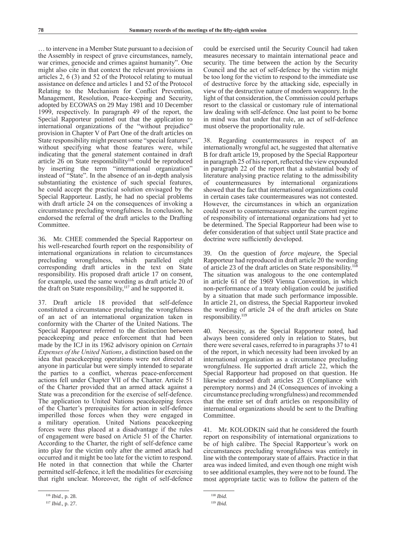… to intervene in a Member State pursuant to a decision of the Assembly in respect of grave circumstances, namely, war crimes, genocide and crimes against humanity". One might also cite in that context the relevant provisions in articles 2, 6 (3) and 52 of the Protocol relating to mutual assistance on defence and articles 1 and 52 of the Protocol Relating to the Mechanism for Conflict Prevention, Management, Resolution, Peace-keeping and Security, adopted by ECOWAS on 29 May 1981 and 10 December 1999, respectively. In paragraph 49 of the report, the Special Rapporteur pointed out that the application to international organizations of the "without prejudice" provision in Chapter V of Part One of the draft articles on State responsibility might present some "special features", without specifying what those features were, while indicating that the general statement contained in draft article  $26$  on State responsibility<sup>116</sup> could be reproduced by inserting the term "international organization" instead of "State". In the absence of an in-depth analysis substantiating the existence of such special features, he could accept the practical solution envisaged by the Special Rapporteur. Lastly, he had no special problems with draft article 24 on the consequences of invoking a circumstance precluding wrongfulness. In conclusion, he endorsed the referral of the draft articles to the Drafting Committee.

36. Mr. CHEE commended the Special Rapporteur on his well-researched fourth report on the responsibility of international organizations in relation to circumstances precluding wrongfulness, which paralleled eight corresponding draft articles in the text on State responsibility. His proposed draft article 17 on consent, for example, used the same wording as draft article 20 of the draft on State responsibility,117 and he supported it.

37. Draft article 18 provided that self-defence constituted a circumstance precluding the wrongfulness of an act of an international organization taken in conformity with the Charter of the United Nations. The Special Rapporteur referred to the distinction between peacekeeping and peace enforcement that had been made by the ICJ in its 1962 advisory opinion on *Certain Expenses of the United Nations*, a distinction based on the idea that peacekeeping operations were not directed at anyone in particular but were simply intended to separate the parties to a conflict, whereas peace-enforcement actions fell under Chapter VII of the Charter. Article 51 of the Charter provided that an armed attack against a State was a precondition for the exercise of self-defence. The application to United Nations peacekeeping forces of the Charter's prerequisites for action in self-defence imperilled those forces when they were engaged in a military operation. United Nations peacekeeping forces were thus placed at a disadvantage if the rules of engagement were based on Article 51 of the Charter. According to the Charter, the right of self-defence came into play for the victim only after the armed attack had occurred and it might be too late for the victim to respond. He noted in that connection that while the Charter permitted self-defence, it left the modalities for exercising that right unclear. Moreover, the right of self-defence

could be exercised until the Security Council had taken measures necessary to maintain international peace and security. The time between the action by the Security Council and the act of self-defence by the victim might be too long for the victim to respond to the immediate use of destructive force by the attacking side, especially in view of the destructive nature of modern weaponry. In the light of that consideration, the Commission could perhaps resort to the classical or customary rule of international law dealing with self-defence. One last point to be borne in mind was that under that rule, an act of self-defence must observe the proportionality rule.

38. Regarding countermeasures in respect of an internationally wrongful act, he suggested that alternative B for draft article 19, proposed by the Special Rapporteur in paragraph 25 of his report, reflected the view expounded in paragraph 22 of the report that a substantial body of literature analysing practice relating to the admissibility of countermeasures by international organizations showed that the fact that international organizations could in certain cases take countermeasures was not contested. However, the circumstances in which an organization could resort to countermeasures under the current regime of responsibility of international organizations had yet to be determined. The Special Rapporteur had been wise to defer consideration of that subject until State practice and doctrine were sufficiently developed.

39. On the question of *force majeure*, the Special Rapporteur had reproduced in draft article 20 the wording of article 23 of the draft articles on State responsibility.118 The situation was analogous to the one contemplated in article 61 of the 1969 Vienna Convention, in which non‑performance of a treaty obligation could be justified by a situation that made such performance impossible. In article 21, on distress, the Special Rapporteur invoked the wording of article 24 of the draft articles on State responsibility.119

40. Necessity, as the Special Rapporteur noted, had always been considered only in relation to States, but there were several cases, referred to in paragraphs 37 to 41 of the report, in which necessity had been invoked by an international organization as a circumstance precluding wrongfulness. He supported draft article 22, which the Special Rapporteur had proposed on that question. He likewise endorsed draft articles 23 (Compliance with peremptory norms) and 24 (Consequences of invoking a circumstance precluding wrongfulness) and recommended that the entire set of draft articles on responsibility of international organizations should be sent to the Drafting Committee.

41. Mr. KOLODKIN said that he considered the fourth report on responsibility of international organizations to be of high calibre. The Special Rapporteur's work on circumstances precluding wrongfulness was entirely in line with the contemporary state of affairs. Practice in that area was indeed limited, and even though one might wish to see additional examples, they were not to be found. The most appropriate tactic was to follow the pattern of the

<sup>116</sup> *Ibid.*, p. 28.

<sup>117</sup> *Ibid.*, p. 27.

<sup>118</sup> *Ibid.*

<sup>119</sup> *Ibid.*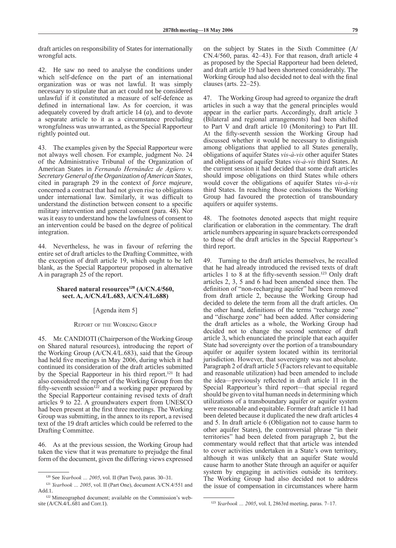draft articles on responsibility of States for internationally wrongful acts.

42. He saw no need to analyse the conditions under which self-defence on the part of an international organization was or was not lawful. It was simply necessary to stipulate that an act could not be considered unlawful if it constituted a measure of self-defence as defined in international law. As for coercion, it was adequately covered by draft article 14 (*a*), and to devote a separate article to it as a circumstance precluding wrongfulness was unwarranted, as the Special Rapporteur rightly pointed out.

43. The examples given by the Special Rapporteur were not always well chosen. For example, judgment No. 24 of the Administrative Tribunal of the Organization of American States in *Fernando Hernández de Agüero* v. *Secretary General of the Organization of American States*, cited in paragraph 29 in the context of *force majeure*, concerned a contract that had not given rise to obligations under international law. Similarly, it was difficult to understand the distinction between consent to a specific military intervention and general consent (para. 48). Nor was it easy to understand how the lawfulness of consent to an intervention could be based on the degree of political integration.

44. Nevertheless, he was in favour of referring the entire set of draft articles to the Drafting Committee, with the exception of draft article 19, which ought to be left blank, as the Special Rapporteur proposed in alternative A in paragraph 25 of the report.

# **Shared natural resources<sup>120</sup> (A/CN.4/560, sect. A, A/CN.4/L.683, A/CN.4/L.688)**

# [Agenda item 5]

### Report of the Working Group

45. Mr. CANDIOTI (Chairperson of the Working Group on Shared natural resources), introducing the report of the Working Group (A/CN.4/L.683), said that the Group had held five meetings in May 2006, during which it had continued its consideration of the draft articles submitted by the Special Rapporteur in his third report.121 It had also considered the report of the Working Group from the fifty-seventh session<sup>122</sup> and a working paper prepared by the Special Rapporteur containing revised texts of draft articles 9 to 22. A groundwaters expert from UNESCO had been present at the first three meetings. The Working Group was submitting, in the annex to its report, a revised text of the 19 draft articles which could be referred to the Drafting Committee.

46. As at the previous session, the Working Group had taken the view that it was premature to prejudge the final form of the document, given the differing views expressed on the subject by States in the Sixth Committee (A/ CN.4/560, paras. 42–43). For that reason, draft article 4 as proposed by the Special Rapporteur had been deleted, and draft article 19 had been shortened considerably. The Working Group had also decided not to deal with the final clauses (arts. 22–25).

47. The Working Group had agreed to organize the draft articles in such a way that the general principles would appear in the earlier parts. Accordingly, draft article 3 (Bilateral and regional arrangements) had been shifted to Part V and draft article 10 (Monitoring) to Part III. At the fifty-seventh session the Working Group had discussed whether it would be necessary to distinguish among obligations that applied to all States generally, obligations of aquifer States *vis‑à-vis* other aquifer States and obligations of aquifer States *vis-à-vis* third States. At the current session it had decided that some draft articles should impose obligations on third States while others would cover the obligations of aquifer States *vis-à-vis* third States. In reaching those conclusions the Working Group had favoured the protection of transboundary aquifers or aquifer systems.

48. The footnotes denoted aspects that might require clarification or elaboration in the commentary. The draft article numbers appearing in square brackets corresponded to those of the draft articles in the Special Rapporteur's third report.

49. Turning to the draft articles themselves, he recalled that he had already introduced the revised texts of draft articles 1 to 8 at the fifty-seventh session.<sup>123</sup> Only draft articles 2, 3, 5 and 6 had been amended since then. The definition of "non-recharging aquifer" had been removed from draft article 2, because the Working Group had decided to delete the term from all the draft articles. On the other hand, definitions of the terms "recharge zone" and "discharge zone" had been added. After considering the draft articles as a whole, the Working Group had decided not to change the second sentence of draft article 3, which enunciated the principle that each aquifer State had sovereignty over the portion of a transboundary aquifer or aquifer system located within its territorial jurisdiction. However, that sovereignty was not absolute. Paragraph 2 of draft article 5 (Factors relevant to equitable and reasonable utilization) had been amended to include the idea—previously reflected in draft article 11 in the Special Rapporteur's third report—that special regard should be given to vital human needs in determining which utilizations of a transboundary aquifer or aquifer system were reasonable and equitable. Former draft article 11 had been deleted because it duplicated the new draft articles 4 and 5. In draft article 6 (Obligation not to cause harm to other aquifer States), the controversial phrase "in their territories" had been deleted from paragraph 2, but the commentary would reflect that that article was intended to cover activities undertaken in a State's own territory, although it was unlikely that an aquifer State would cause harm to another State through an aquifer or aquifer system by engaging in activities outside its territory. The Working Group had also decided not to address the issue of compensation in circumstances where harm

<sup>120</sup> See *Yearbook … 2005*, vol. II (Part Two), paras. 30–31.

<sup>121</sup> *Yearbook … 2005*, vol. II (Part One), document A/CN.4/551 and Add.1.

<sup>122</sup> Mimeographed document; available on the Commission's website (A/CN.4/L.681 and Corr.1).

<sup>123</sup> *Yearbook … 2005*, vol. I, 2863rd meeting, paras. 7–17.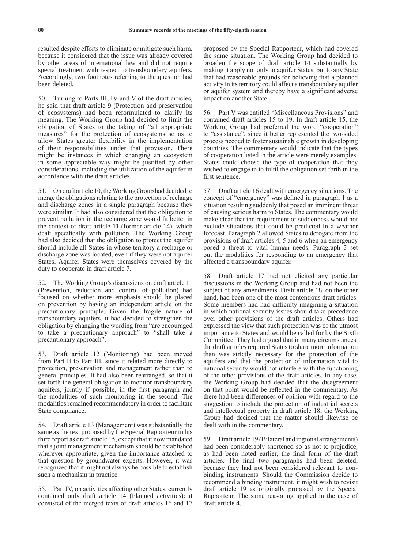resulted despite efforts to eliminate or mitigate such harm, because it considered that the issue was already covered by other areas of international law and did not require special treatment with respect to transboundary aquifers. Accordingly, two footnotes referring to the question had been deleted.

50. Turning to Parts III, IV and V of the draft articles, he said that draft article 9 (Protection and preservation of ecosystems) had been reformulated to clarify its meaning. The Working Group had decided to limit the obligation of States to the taking of "all appropriate measures" for the protection of ecosystems so as to allow States greater flexibility in the implementation of their responsibilities under that provision. There might be instances in which changing an ecosystem in some appreciable way might be justified by other considerations, including the utilization of the aquifer in accordance with the draft articles.

51. On draft article 10, the Working Group had decided to merge the obligations relating to the protection of recharge and discharge zones in a single paragraph because they were similar. It had also considered that the obligation to prevent pollution in the recharge zone would fit better in the context of draft article 11 (former article 14), which dealt specifically with pollution. The Working Group had also decided that the obligation to protect the aquifer should include all States in whose territory a recharge or discharge zone was located, even if they were not aquifer States. Aquifer States were themselves covered by the duty to cooperate in draft article 7.

52. The Working Group's discussions on draft article 11 (Prevention, reduction and control of pollution) had focused on whether more emphasis should be placed on prevention by having an independent article on the precautionary principle. Given the fragile nature of transboundary aquifers, it had decided to strengthen the obligation by changing the wording from "are encouraged to take a precautionary approach" to "shall take a precautionary approach".

53. Draft article 12 (Monitoring) had been moved from Part II to Part III, since it related more directly to protection, preservation and management rather than to general principles. It had also been rearranged, so that it set forth the general obligation to monitor transboundary aquifers, jointly if possible, in the first paragraph and the modalities of such monitoring in the second. The modalities remained recommendatory in order to facilitate State compliance.

54. Draft article 13 (Management) was substantially the same as the text proposed by the Special Rapporteur in his third report as draft article 15, except that it now mandated that a joint management mechanism should be established wherever appropriate, given the importance attached to that question by groundwater experts. However, it was recognized that it might not always be possible to establish such a mechanism in practice.

55. Part IV, on activities affecting other States, currently contained only draft article 14 (Planned activities): it consisted of the merged texts of draft articles 16 and 17 proposed by the Special Rapporteur, which had covered the same situation. The Working Group had decided to broaden the scope of draft article 14 substantially by making it apply not only to aquifer States, but to any State that had reasonable grounds for believing that a planned activity in its territory could affect a transboundary aquifer or aquifer system and thereby have a significant adverse impact on another State.

56. Part V was entitled "Miscellaneous Provisions" and contained draft articles 15 to 19. In draft article 15, the Working Group had preferred the word "cooperation" to "assistance", since it better represented the two-sided process needed to foster sustainable growth in developing countries. The commentary would indicate that the types of cooperation listed in the article were merely examples. States could choose the type of cooperation that they wished to engage in to fulfil the obligation set forth in the first sentence.

57. Draft article 16 dealt with emergency situations. The concept of "emergency" was defined in paragraph 1 as a situation resulting suddenly that posed an imminent threat of causing serious harm to States. The commentary would make clear that the requirement of suddenness would not exclude situations that could be predicted in a weather forecast. Paragraph 2 allowed States to derogate from the provisions of draft articles 4, 5 and 6 when an emergency posed a threat to vital human needs. Paragraph 3 set out the modalities for responding to an emergency that affected a transboundary aquifer.

58. Draft article 17 had not elicited any particular discussions in the Working Group and had not been the subject of any amendments. Draft article 18, on the other hand, had been one of the most contentious draft articles. Some members had had difficulty imagining a situation in which national security issues should take precedence over other provisions of the draft articles. Others had expressed the view that such protection was of the utmost importance to States and would be called for by the Sixth Committee. They had argued that in many circumstances, the draft articles required States to share more information than was strictly necessary for the protection of the aquifers and that the protection of information vital to national security would not interfere with the functioning of the other provisions of the draft articles. In any case, the Working Group had decided that the disagreement on that point would be reflected in the commentary. As there had been differences of opinion with regard to the suggestion to include the protection of industrial secrets and intellectual property in draft article 18, the Working Group had decided that the matter should likewise be dealt with in the commentary.

59. Draft article 19 (Bilateral and regional arrangements) had been considerably shortened so as not to prejudice, as had been noted earlier, the final form of the draft articles. The final two paragraphs had been deleted, because they had not been considered relevant to nonbinding instruments. Should the Commission decide to recommend a binding instrument, it might wish to revisit draft article 19 as originally proposed by the Special Rapporteur. The same reasoning applied in the case of draft article 4.